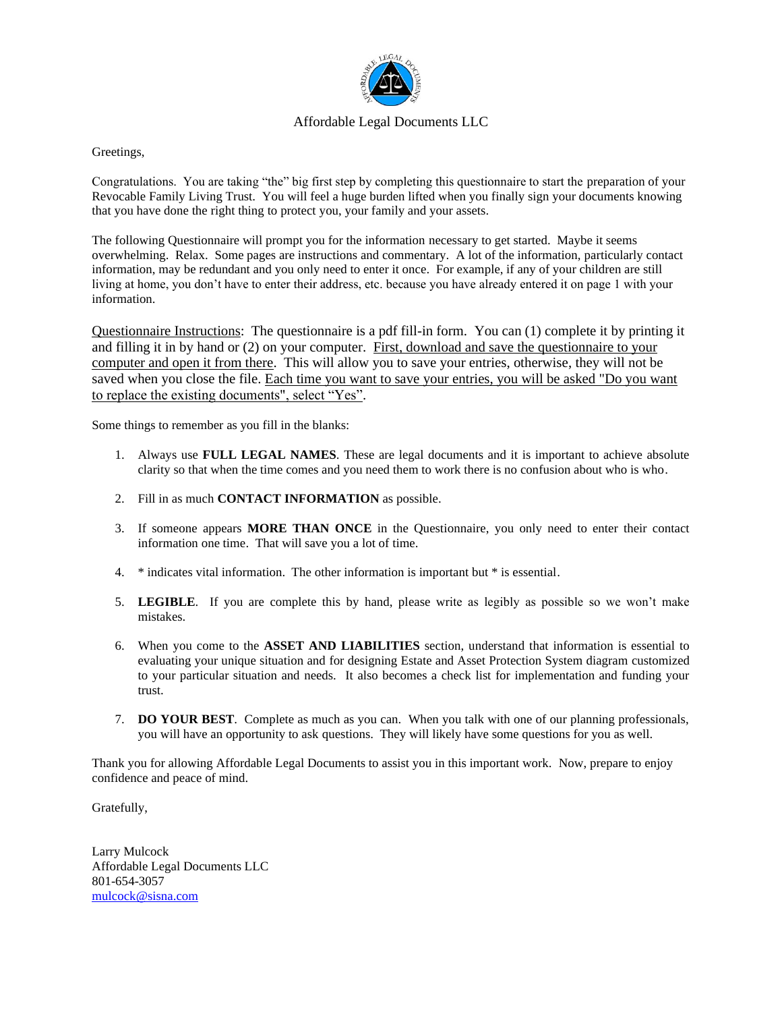

### Affordable Legal Documents LLC

Greetings,

Congratulations. You are taking "the" big first step by completing this questionnaire to start the preparation of your Revocable Family Living Trust. You will feel a huge burden lifted when you finally sign your documents knowing that you have done the right thing to protect you, your family and your assets.

The following Questionnaire will prompt you for the information necessary to get started. Maybe it seems overwhelming. Relax. Some pages are instructions and commentary. A lot of the information, particularly contact information, may be redundant and you only need to enter it once. For example, if any of your children are still living at home, you don't have to enter their address, etc. because you have already entered it on page 1 with your information.

Questionnaire Instructions: The questionnaire is a pdf fill-in form. You can (1) complete it by printing it and filling it in by hand or (2) on your computer. First, download and save the questionnaire to your computer and open it from there. This will allow you to save your entries, otherwise, they will not be saved when you close the file. Each time you want to save your entries, you will be asked "Do you want to replace the existing documents", select "Yes".

Some things to remember as you fill in the blanks:

- 1. Always use **FULL LEGAL NAMES**. These are legal documents and it is important to achieve absolute clarity so that when the time comes and you need them to work there is no confusion about who is who.
- 2. Fill in as much **CONTACT INFORMATION** as possible.
- 3. If someone appears **MORE THAN ONCE** in the Questionnaire, you only need to enter their contact information one time. That will save you a lot of time.
- 4. \* indicates vital information. The other information is important but \* is essential.
- 5. **LEGIBLE**. If you are complete this by hand, please write as legibly as possible so we won't make mistakes.
- 6. When you come to the **ASSET AND LIABILITIES** section, understand that information is essential to evaluating your unique situation and for designing Estate and Asset Protection System diagram customized to your particular situation and needs. It also becomes a check list for implementation and funding your trust.
- 7. **DO YOUR BEST**. Complete as much as you can. When you talk with one of our planning professionals, you will have an opportunity to ask questions. They will likely have some questions for you as well.

Thank you for allowing Affordable Legal Documents to assist you in this important work. Now, prepare to enjoy confidence and peace of mind.

Gratefully,

Larry Mulcock Affordable Legal Documents LLC 801-654-3057 [mulcock@sisna.com](mailto:mulcock@sisna.com)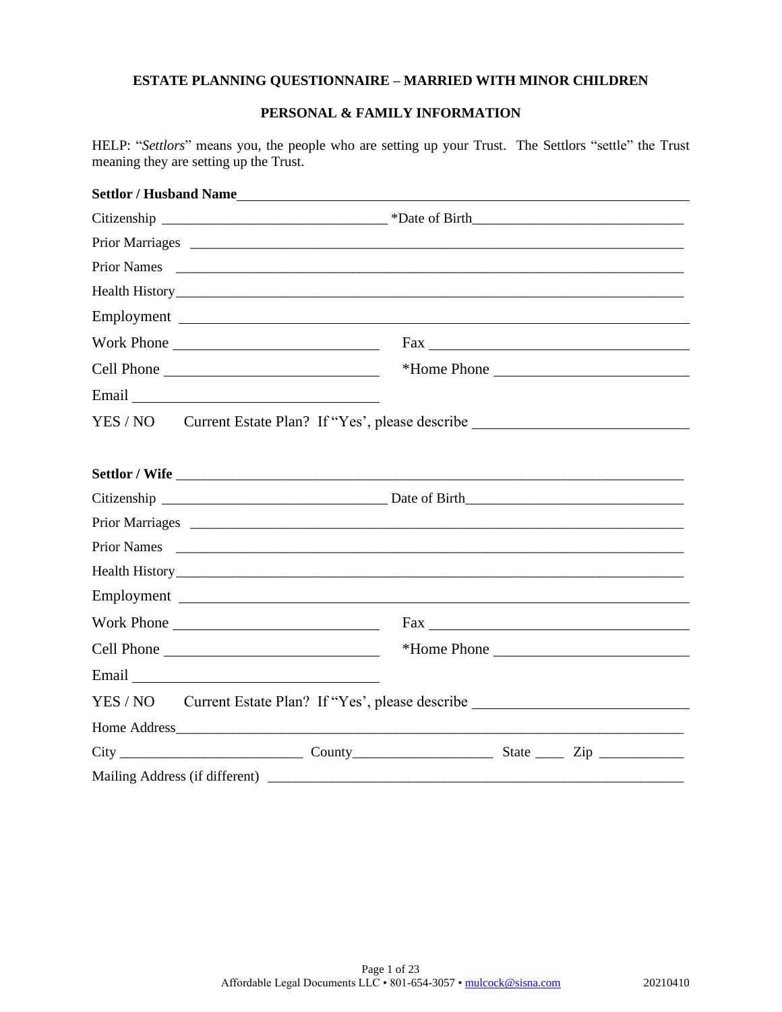### **PERSONAL & FAMILY INFORMATION**

HELP: "*Settlors*" means you, the people who are setting up your Trust. The Settlors "settle" the Trust meaning they are setting up the Trust.

| YES / NO Current Estate Plan? If "Yes', please describe ________________________ |  |              |
|----------------------------------------------------------------------------------|--|--------------|
|                                                                                  |  |              |
|                                                                                  |  |              |
|                                                                                  |  |              |
|                                                                                  |  |              |
|                                                                                  |  |              |
|                                                                                  |  |              |
|                                                                                  |  | $\text{Fax}$ |
|                                                                                  |  |              |
|                                                                                  |  |              |
| YES / NO Current Estate Plan? If "Yes', please describe ________________________ |  |              |
|                                                                                  |  |              |
|                                                                                  |  |              |
|                                                                                  |  |              |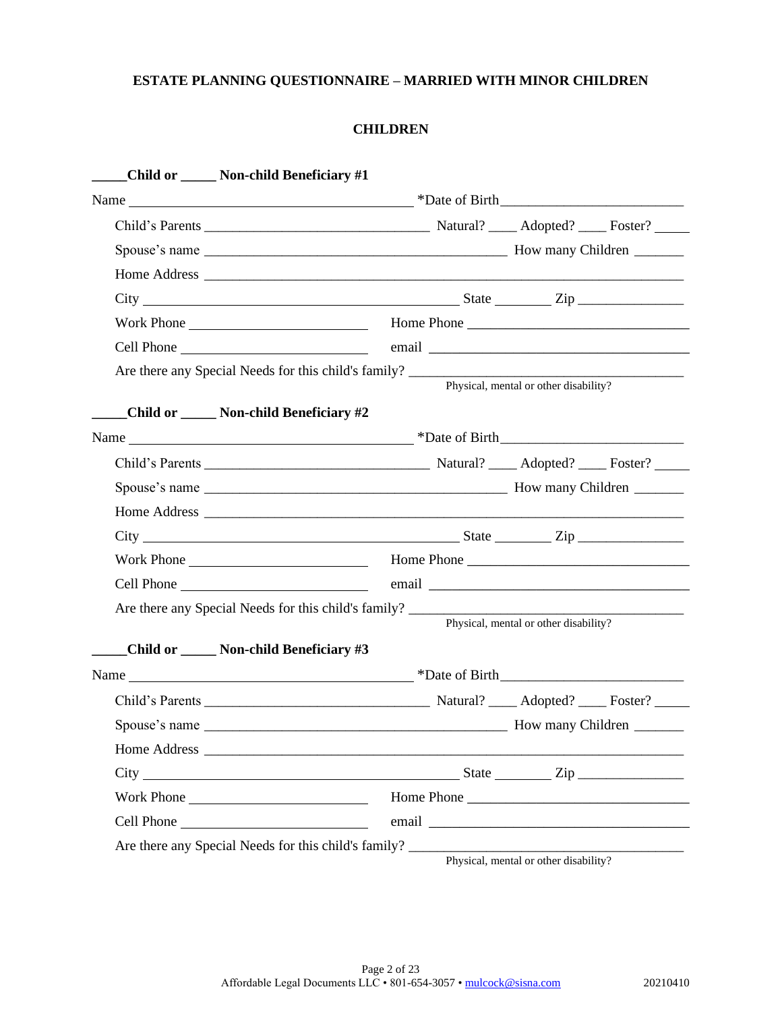### **CHILDREN**

| Child or ______ Non-child Beneficiary #1                                                                                                                                                                                       |
|--------------------------------------------------------------------------------------------------------------------------------------------------------------------------------------------------------------------------------|
|                                                                                                                                                                                                                                |
|                                                                                                                                                                                                                                |
|                                                                                                                                                                                                                                |
|                                                                                                                                                                                                                                |
| $City$ $City$ $Step$ $Line$                                                                                                                                                                                                    |
|                                                                                                                                                                                                                                |
| Cell Phone email email email email experience of the contract of the contract of the contract of the contract of the contract of the contract of the contract of the contract of the contract of the contract of the contract  |
| Physical, mental or other disability?<br>Child or _____ Non-child Beneficiary #2                                                                                                                                               |
|                                                                                                                                                                                                                                |
|                                                                                                                                                                                                                                |
|                                                                                                                                                                                                                                |
|                                                                                                                                                                                                                                |
|                                                                                                                                                                                                                                |
|                                                                                                                                                                                                                                |
| email entrance and the contract of the contract of the contract of the contract of the contract of the contract of the contract of the contract of the contract of the contract of the contract of the contract of the contrac |
| Physical, mental or other disability?                                                                                                                                                                                          |
| Child or _____ Non-child Beneficiary #3                                                                                                                                                                                        |
|                                                                                                                                                                                                                                |
|                                                                                                                                                                                                                                |
|                                                                                                                                                                                                                                |
|                                                                                                                                                                                                                                |
| $City$ $City$ $Step$ $Line$                                                                                                                                                                                                    |
| Work Phone                                                                                                                                                                                                                     |
|                                                                                                                                                                                                                                |
| Are there any Special Needs for this child's family?<br>Physical, mental or other disability?                                                                                                                                  |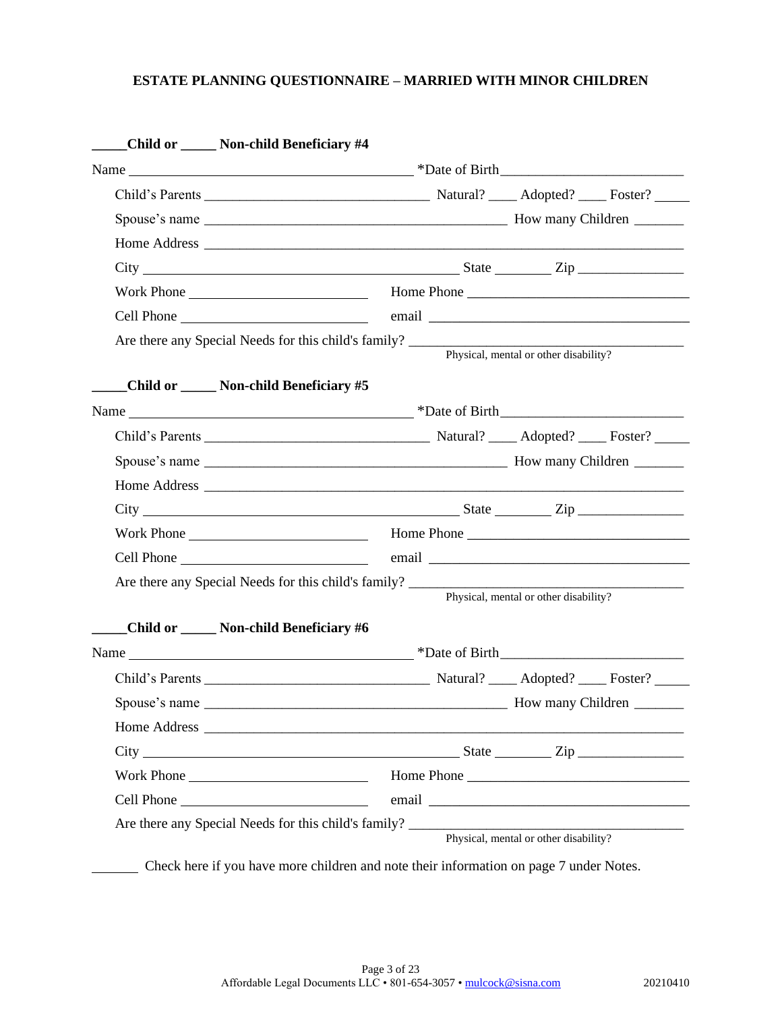|               | Child or _____ Non-child Beneficiary #4                                                       |
|---------------|-----------------------------------------------------------------------------------------------|
|               |                                                                                               |
|               |                                                                                               |
|               |                                                                                               |
|               |                                                                                               |
|               | $City$ $City$ $Step$ $Zip$                                                                    |
|               |                                                                                               |
|               |                                                                                               |
|               | Physical, mental or other disability?                                                         |
|               | Child or _____ Non-child Beneficiary #5                                                       |
|               |                                                                                               |
|               |                                                                                               |
|               |                                                                                               |
|               |                                                                                               |
|               | $\text{City}$ $\text{City}$                                                                   |
|               |                                                                                               |
|               |                                                                                               |
|               | Are there any Special Needs for this child's family?<br>Physical, mental or other disability? |
|               | Child or _____ Non-child Beneficiary #6                                                       |
|               |                                                                                               |
|               |                                                                                               |
| Spouse's name | <b>How many Children</b>                                                                      |
|               |                                                                                               |
|               | $City$ $City$ $Step$ $Line$                                                                   |
|               | Work Phone                                                                                    |
|               |                                                                                               |
|               |                                                                                               |
|               | Physical, mental or other disability?                                                         |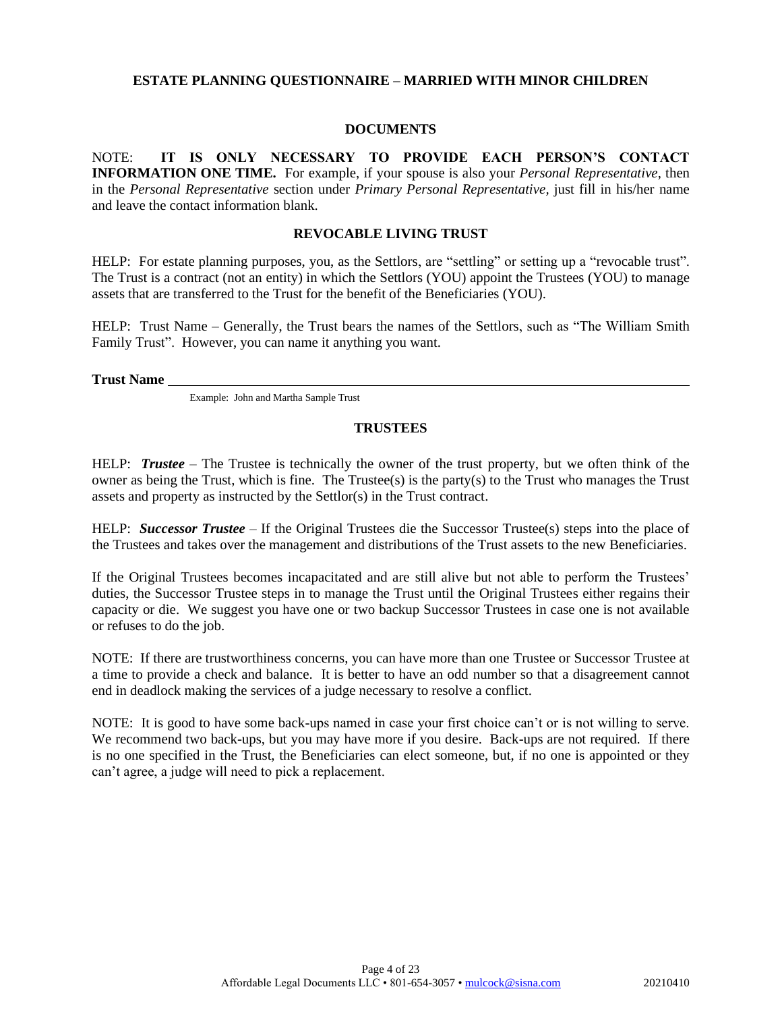### **DOCUMENTS**

NOTE: **IT IS ONLY NECESSARY TO PROVIDE EACH PERSON'S CONTACT INFORMATION ONE TIME.** For example, if your spouse is also your *Personal Representative*, then in the *Personal Representative* section under *Primary Personal Representative,* just fill in his/her name and leave the contact information blank.

#### **REVOCABLE LIVING TRUST**

HELP: For estate planning purposes, you, as the Settlors, are "settling" or setting up a "revocable trust". The Trust is a contract (not an entity) in which the Settlors (YOU) appoint the Trustees (YOU) to manage assets that are transferred to the Trust for the benefit of the Beneficiaries (YOU).

HELP: Trust Name – Generally, the Trust bears the names of the Settlors, such as "The William Smith Family Trust". However, you can name it anything you want.

**Trust Name**

Example: John and Martha Sample Trust

### **TRUSTEES**

HELP: *Trustee* – The Trustee is technically the owner of the trust property, but we often think of the owner as being the Trust, which is fine. The Trustee(s) is the party(s) to the Trust who manages the Trust assets and property as instructed by the Settlor(s) in the Trust contract.

HELP: *Successor Trustee* – If the Original Trustees die the Successor Trustee(s) steps into the place of the Trustees and takes over the management and distributions of the Trust assets to the new Beneficiaries.

If the Original Trustees becomes incapacitated and are still alive but not able to perform the Trustees' duties, the Successor Trustee steps in to manage the Trust until the Original Trustees either regains their capacity or die. We suggest you have one or two backup Successor Trustees in case one is not available or refuses to do the job.

NOTE: If there are trustworthiness concerns, you can have more than one Trustee or Successor Trustee at a time to provide a check and balance. It is better to have an odd number so that a disagreement cannot end in deadlock making the services of a judge necessary to resolve a conflict.

NOTE: It is good to have some back-ups named in case your first choice can't or is not willing to serve. We recommend two back-ups, but you may have more if you desire. Back-ups are not required. If there is no one specified in the Trust, the Beneficiaries can elect someone, but, if no one is appointed or they can't agree, a judge will need to pick a replacement.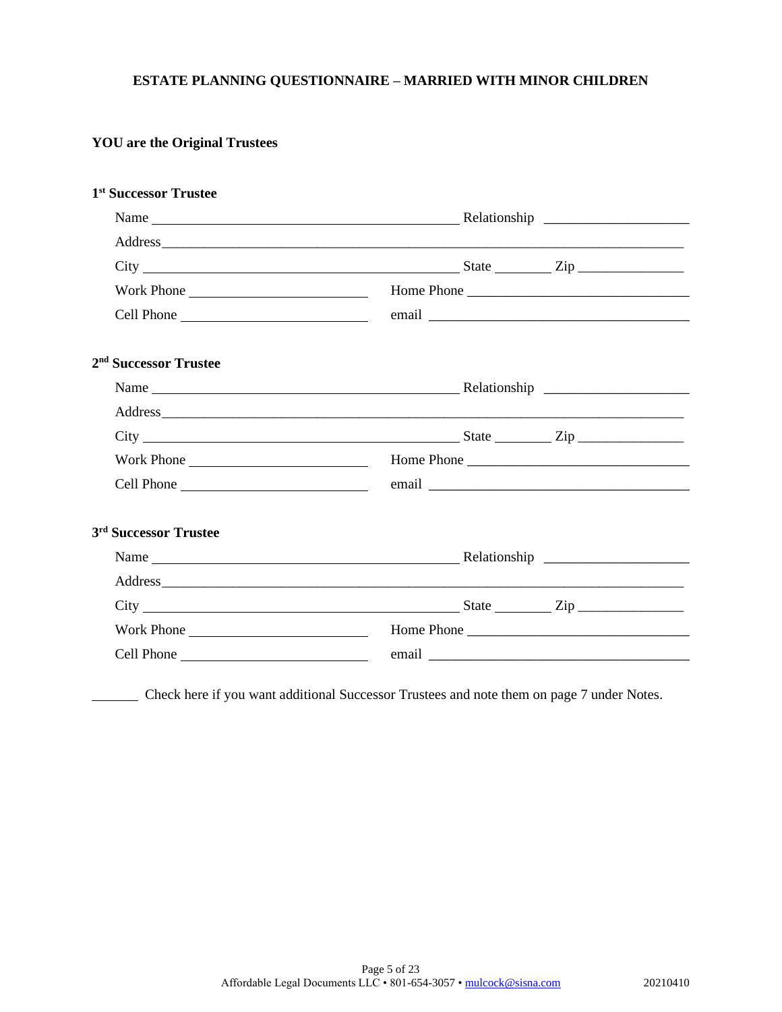## **YOU are the Original Trustees**

| 1 <sup>st</sup> Successor Trustee |                             |  |
|-----------------------------------|-----------------------------|--|
|                                   |                             |  |
|                                   |                             |  |
|                                   | $City$ $2ip$ $2ip$          |  |
| Work Phone                        |                             |  |
|                                   |                             |  |
| 2 <sup>nd</sup> Successor Trustee |                             |  |
|                                   |                             |  |
|                                   |                             |  |
|                                   | $City$ $City$ $Step$ $Type$ |  |
| Work Phone                        |                             |  |
|                                   |                             |  |
| 3 <sup>rd</sup> Successor Trustee |                             |  |
|                                   |                             |  |
|                                   |                             |  |
|                                   | $City$ $City$ $Zip$         |  |
| Work Phone                        | Home Phone                  |  |
|                                   |                             |  |

Check here if you want additional Successor Trustees and note them on page 7 under Notes.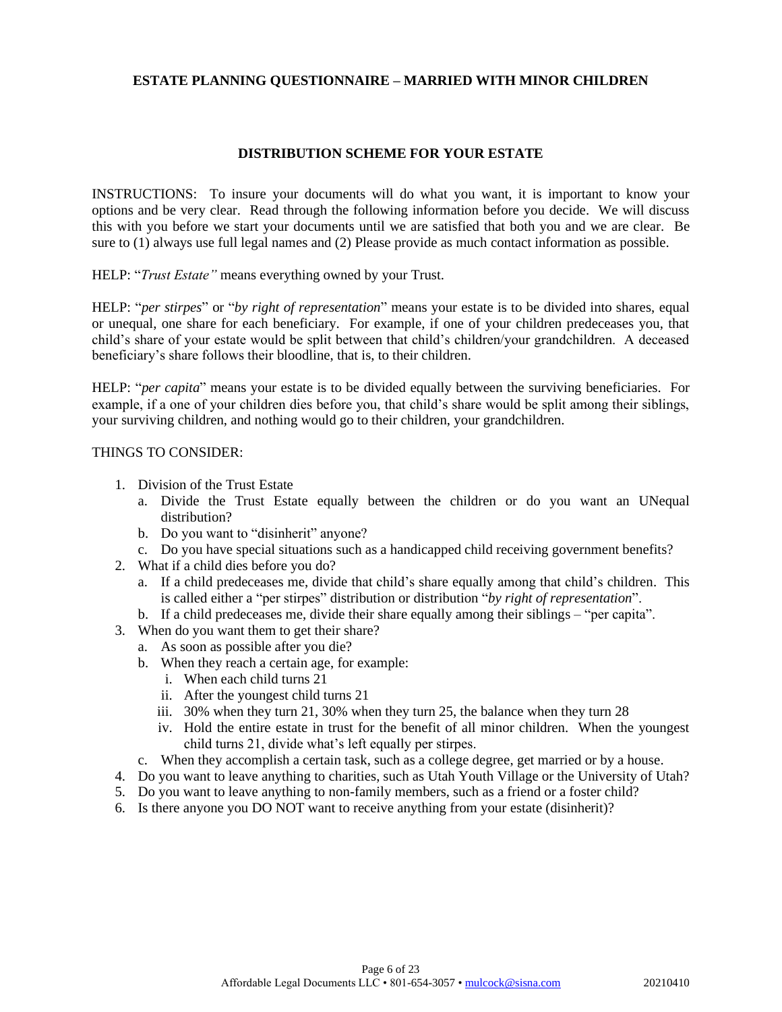### **DISTRIBUTION SCHEME FOR YOUR ESTATE**

INSTRUCTIONS: To insure your documents will do what you want, it is important to know your options and be very clear. Read through the following information before you decide. We will discuss this with you before we start your documents until we are satisfied that both you and we are clear. Be sure to (1) always use full legal names and (2) Please provide as much contact information as possible.

HELP: "*Trust Estate"* means everything owned by your Trust.

HELP: "*per stirpes*" or "*by right of representation*" means your estate is to be divided into shares, equal or unequal, one share for each beneficiary. For example, if one of your children predeceases you, that child's share of your estate would be split between that child's children/your grandchildren. A deceased beneficiary's share follows their bloodline, that is, to their children.

HELP: "*per capita*" means your estate is to be divided equally between the surviving beneficiaries. For example, if a one of your children dies before you, that child's share would be split among their siblings, your surviving children, and nothing would go to their children, your grandchildren.

#### THINGS TO CONSIDER:

- 1. Division of the Trust Estate
	- a. Divide the Trust Estate equally between the children or do you want an UNequal distribution?
	- b. Do you want to "disinherit" anyone?
	- c. Do you have special situations such as a handicapped child receiving government benefits?
- 2. What if a child dies before you do?
	- a. If a child predeceases me, divide that child's share equally among that child's children. This is called either a "per stirpes" distribution or distribution "*by right of representation*".
	- b. If a child predeceases me, divide their share equally among their siblings "per capita".
- 3. When do you want them to get their share?
	- a. As soon as possible after you die?
	- b. When they reach a certain age, for example:
		- i. When each child turns 21
		- ii. After the youngest child turns 21
		- iii. 30% when they turn 21, 30% when they turn 25, the balance when they turn 28
		- iv. Hold the entire estate in trust for the benefit of all minor children. When the youngest child turns 21, divide what's left equally per stirpes.
	- c. When they accomplish a certain task, such as a college degree, get married or by a house.
- 4. Do you want to leave anything to charities, such as Utah Youth Village or the University of Utah?
- 5. Do you want to leave anything to non-family members, such as a friend or a foster child?
- 6. Is there anyone you DO NOT want to receive anything from your estate (disinherit)?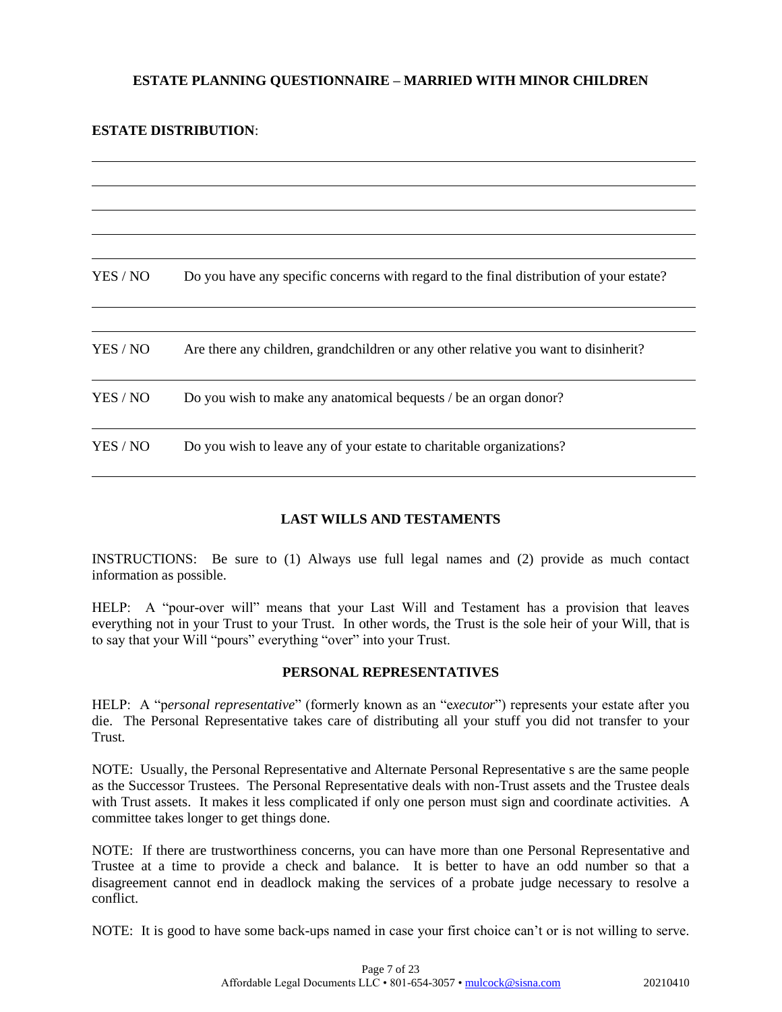### **ESTATE DISTRIBUTION**:

| Do you have any specific concerns with regard to the final distribution of your estate? |
|-----------------------------------------------------------------------------------------|
|                                                                                         |
| Are there any children, grandchildren or any other relative you want to disinherit?     |
| Do you wish to make any anatomical bequests / be an organ donor?                        |
| Do you wish to leave any of your estate to charitable organizations?                    |
|                                                                                         |

### **LAST WILLS AND TESTAMENTS**

INSTRUCTIONS: Be sure to (1) Always use full legal names and (2) provide as much contact information as possible.

HELP: A "pour-over will" means that your Last Will and Testament has a provision that leaves everything not in your Trust to your Trust. In other words, the Trust is the sole heir of your Will, that is to say that your Will "pours" everything "over" into your Trust.

### **PERSONAL REPRESENTATIVES**

HELP: A "p*ersonal representative*" (formerly known as an "e*xecutor*") represents your estate after you die. The Personal Representative takes care of distributing all your stuff you did not transfer to your Trust.

NOTE: Usually, the Personal Representative and Alternate Personal Representative s are the same people as the Successor Trustees. The Personal Representative deals with non-Trust assets and the Trustee deals with Trust assets. It makes it less complicated if only one person must sign and coordinate activities. A committee takes longer to get things done.

NOTE: If there are trustworthiness concerns, you can have more than one Personal Representative and Trustee at a time to provide a check and balance. It is better to have an odd number so that a disagreement cannot end in deadlock making the services of a probate judge necessary to resolve a conflict.

NOTE: It is good to have some back-ups named in case your first choice can't or is not willing to serve.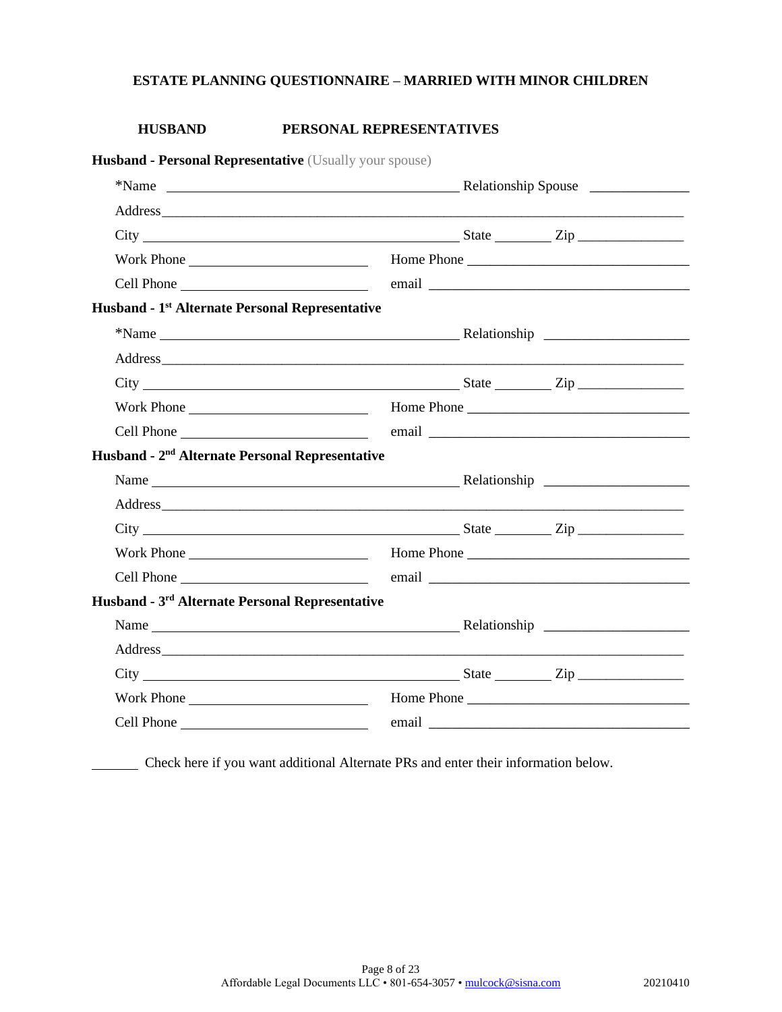### **HUSBAND PERSONAL REPRESENTATIVES**

| Husband - Personal Representative (Usually your spouse)                                                                                                                                                                        |  |  |
|--------------------------------------------------------------------------------------------------------------------------------------------------------------------------------------------------------------------------------|--|--|
|                                                                                                                                                                                                                                |  |  |
|                                                                                                                                                                                                                                |  |  |
| $City$ $City$ $Step$ $Line$                                                                                                                                                                                                    |  |  |
| Work Phone Lawrence and Home Phone Lawrence and Home Phone Lawrence and Home Phone Lawrence and Home Phone Lawrence and Home Phone Lawrence and Home Phone Lawrence and Home Phone Lawrence and Home Phone Lawrence and Home P |  |  |
|                                                                                                                                                                                                                                |  |  |
| Husband - 1 <sup>st</sup> Alternate Personal Representative                                                                                                                                                                    |  |  |
|                                                                                                                                                                                                                                |  |  |
|                                                                                                                                                                                                                                |  |  |
|                                                                                                                                                                                                                                |  |  |
|                                                                                                                                                                                                                                |  |  |
|                                                                                                                                                                                                                                |  |  |
| Husband - 2 <sup>nd</sup> Alternate Personal Representative                                                                                                                                                                    |  |  |
|                                                                                                                                                                                                                                |  |  |
|                                                                                                                                                                                                                                |  |  |
|                                                                                                                                                                                                                                |  |  |
|                                                                                                                                                                                                                                |  |  |
| Cell Phone email email email email email expression of the state of the state of the state of the state of the state of the state of the state of the state of the state of the state of the state of the state of the state o |  |  |
| Husband - 3 <sup>rd</sup> Alternate Personal Representative                                                                                                                                                                    |  |  |
| Name Relationship Relationship                                                                                                                                                                                                 |  |  |
|                                                                                                                                                                                                                                |  |  |
| $City$ $City$ $Step$ $Line$                                                                                                                                                                                                    |  |  |
|                                                                                                                                                                                                                                |  |  |
|                                                                                                                                                                                                                                |  |  |

Check here if you want additional Alternate PRs and enter their information below.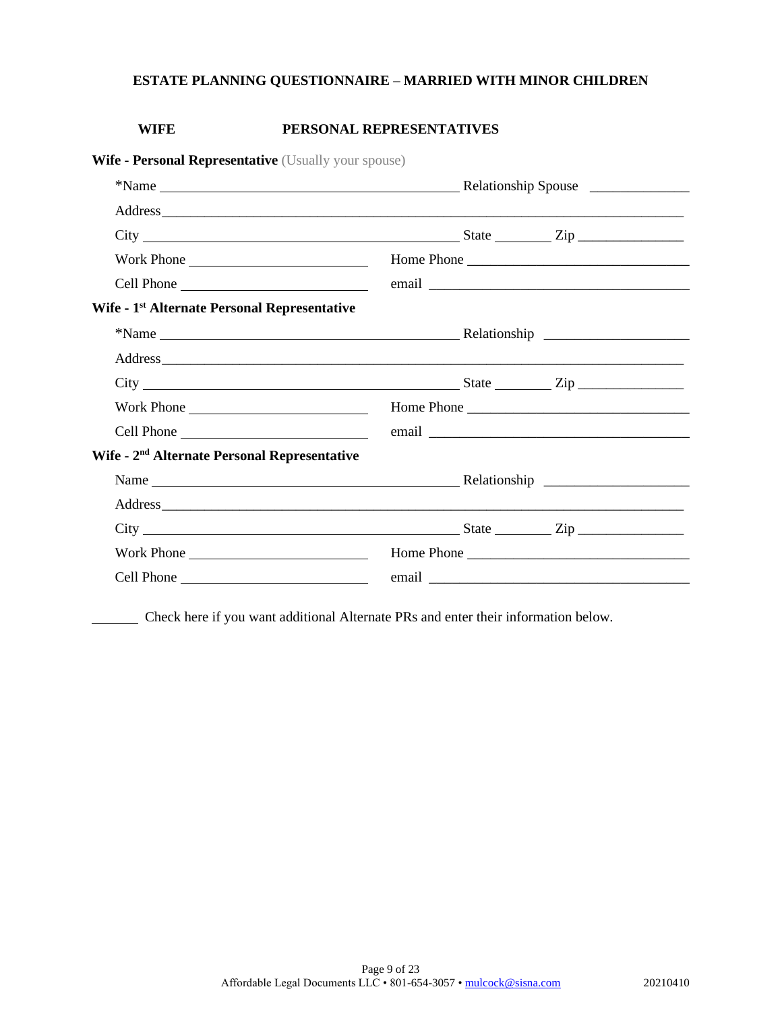### **WIFE PERSONAL REPRESENTATIVES**

| <b>Wife - Personal Representative</b> (Usually your spouse)                                                                                                                   |  |  |
|-------------------------------------------------------------------------------------------------------------------------------------------------------------------------------|--|--|
|                                                                                                                                                                               |  |  |
|                                                                                                                                                                               |  |  |
| $City$ $City$ $Step$ $Line$                                                                                                                                                   |  |  |
| Work Phone                                                                                                                                                                    |  |  |
|                                                                                                                                                                               |  |  |
| Wife - 1 <sup>st</sup> Alternate Personal Representative                                                                                                                      |  |  |
|                                                                                                                                                                               |  |  |
|                                                                                                                                                                               |  |  |
| $City$ $\rule{0.1cm}{0.1cm}$ $\rule{0.1cm}{0.1cm}$ $\qquad \qquad \text{State}$ $\rule{0.1cm}{0.1cm}$ $\qquad \qquad \text{City}$ $\rule{0.1cm}{0.1cm}$ $\rule{0.1cm}{0.1cm}$ |  |  |
|                                                                                                                                                                               |  |  |
|                                                                                                                                                                               |  |  |
| Wife - 2 <sup>nd</sup> Alternate Personal Representative                                                                                                                      |  |  |
|                                                                                                                                                                               |  |  |
|                                                                                                                                                                               |  |  |
| $\text{City}$ $\frac{\text{City}}{\text{City}}$                                                                                                                               |  |  |
|                                                                                                                                                                               |  |  |
|                                                                                                                                                                               |  |  |

Check here if you want additional Alternate PRs and enter their information below.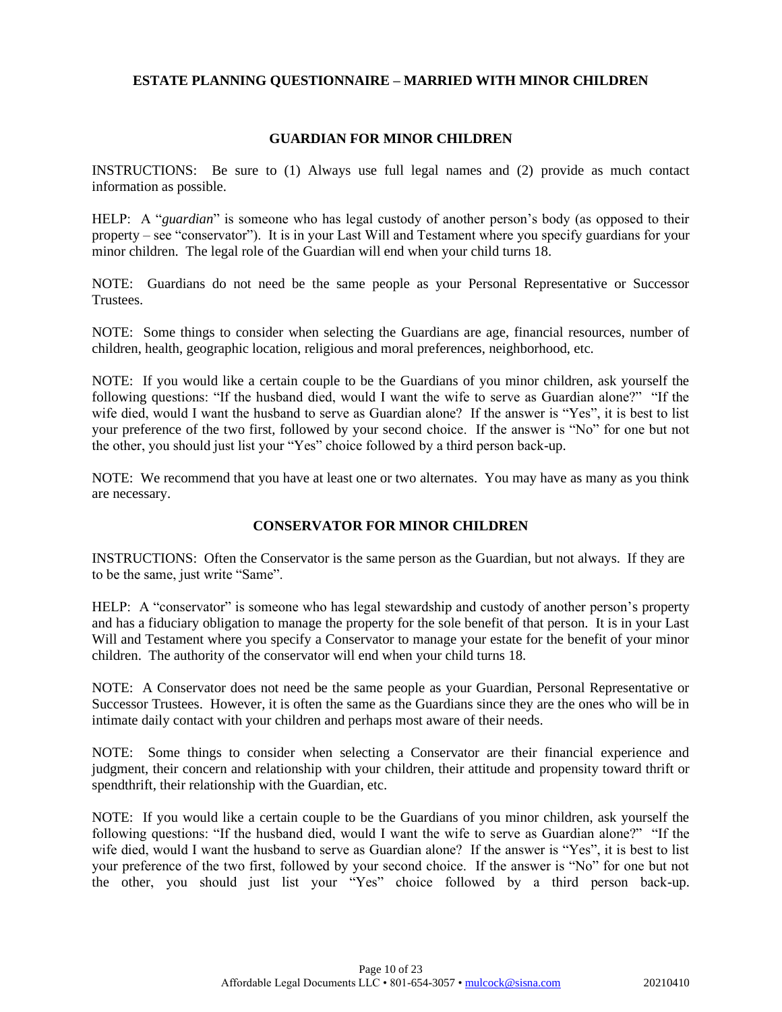### **GUARDIAN FOR MINOR CHILDREN**

INSTRUCTIONS: Be sure to (1) Always use full legal names and (2) provide as much contact information as possible.

HELP: A "*guardian*" is someone who has legal custody of another person's body (as opposed to their property – see "conservator"). It is in your Last Will and Testament where you specify guardians for your minor children. The legal role of the Guardian will end when your child turns 18.

NOTE: Guardians do not need be the same people as your Personal Representative or Successor Trustees.

NOTE: Some things to consider when selecting the Guardians are age, financial resources, number of children, health, geographic location, religious and moral preferences, neighborhood, etc.

NOTE: If you would like a certain couple to be the Guardians of you minor children, ask yourself the following questions: "If the husband died, would I want the wife to serve as Guardian alone?" "If the wife died, would I want the husband to serve as Guardian alone? If the answer is "Yes", it is best to list your preference of the two first, followed by your second choice. If the answer is "No" for one but not the other, you should just list your "Yes" choice followed by a third person back-up.

NOTE: We recommend that you have at least one or two alternates. You may have as many as you think are necessary.

### **CONSERVATOR FOR MINOR CHILDREN**

INSTRUCTIONS: Often the Conservator is the same person as the Guardian, but not always. If they are to be the same, just write "Same".

HELP: A "conservator" is someone who has legal stewardship and custody of another person's property and has a fiduciary obligation to manage the property for the sole benefit of that person. It is in your Last Will and Testament where you specify a Conservator to manage your estate for the benefit of your minor children. The authority of the conservator will end when your child turns 18.

NOTE: A Conservator does not need be the same people as your Guardian, Personal Representative or Successor Trustees. However, it is often the same as the Guardians since they are the ones who will be in intimate daily contact with your children and perhaps most aware of their needs.

NOTE: Some things to consider when selecting a Conservator are their financial experience and judgment, their concern and relationship with your children, their attitude and propensity toward thrift or spendthrift, their relationship with the Guardian, etc.

NOTE: If you would like a certain couple to be the Guardians of you minor children, ask yourself the following questions: "If the husband died, would I want the wife to serve as Guardian alone?" "If the wife died, would I want the husband to serve as Guardian alone? If the answer is "Yes", it is best to list your preference of the two first, followed by your second choice. If the answer is "No" for one but not the other, you should just list your "Yes" choice followed by a third person back-up.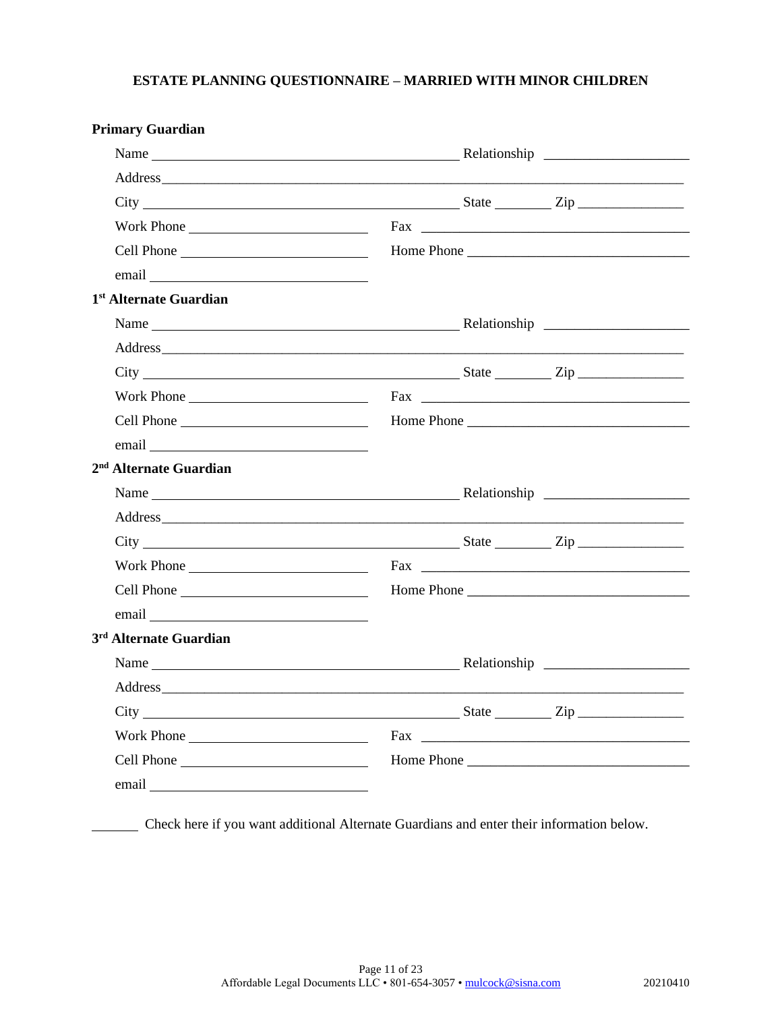| <b>Primary Guardian</b>                                                                                                                                |  |  |
|--------------------------------------------------------------------------------------------------------------------------------------------------------|--|--|
|                                                                                                                                                        |  |  |
|                                                                                                                                                        |  |  |
| City State Zip                                                                                                                                         |  |  |
| Work Phone                                                                                                                                             |  |  |
|                                                                                                                                                        |  |  |
|                                                                                                                                                        |  |  |
| 1 <sup>st</sup> Alternate Guardian                                                                                                                     |  |  |
|                                                                                                                                                        |  |  |
|                                                                                                                                                        |  |  |
|                                                                                                                                                        |  |  |
| Work Phone                                                                                                                                             |  |  |
|                                                                                                                                                        |  |  |
| email email and the same state of the same state of the same state of the same state of the same state of the                                          |  |  |
| 2 <sup>nd</sup> Alternate Guardian                                                                                                                     |  |  |
|                                                                                                                                                        |  |  |
|                                                                                                                                                        |  |  |
| $City$ $City$ $Step$ $Line$                                                                                                                            |  |  |
| Work Phone                                                                                                                                             |  |  |
|                                                                                                                                                        |  |  |
|                                                                                                                                                        |  |  |
| 3 <sup>rd</sup> Alternate Guardian                                                                                                                     |  |  |
| Name                                                                                                                                                   |  |  |
|                                                                                                                                                        |  |  |
| $City$ $\rule{0.1cm}{0.1cm}$ $\rule{0.1cm}{0.1cm}$ $\qquad \qquad \text{State}$ $\rule{0.1cm}{0.1cm}$ $\qquad \qquad \text{Zip}$ $\rule{0.1cm}{0.1cm}$ |  |  |
| Work Phone                                                                                                                                             |  |  |
|                                                                                                                                                        |  |  |
| email email and the same state of the same state of the same state of the same state of the same state of the                                          |  |  |

Check here if you want additional Alternate Guardians and enter their information below.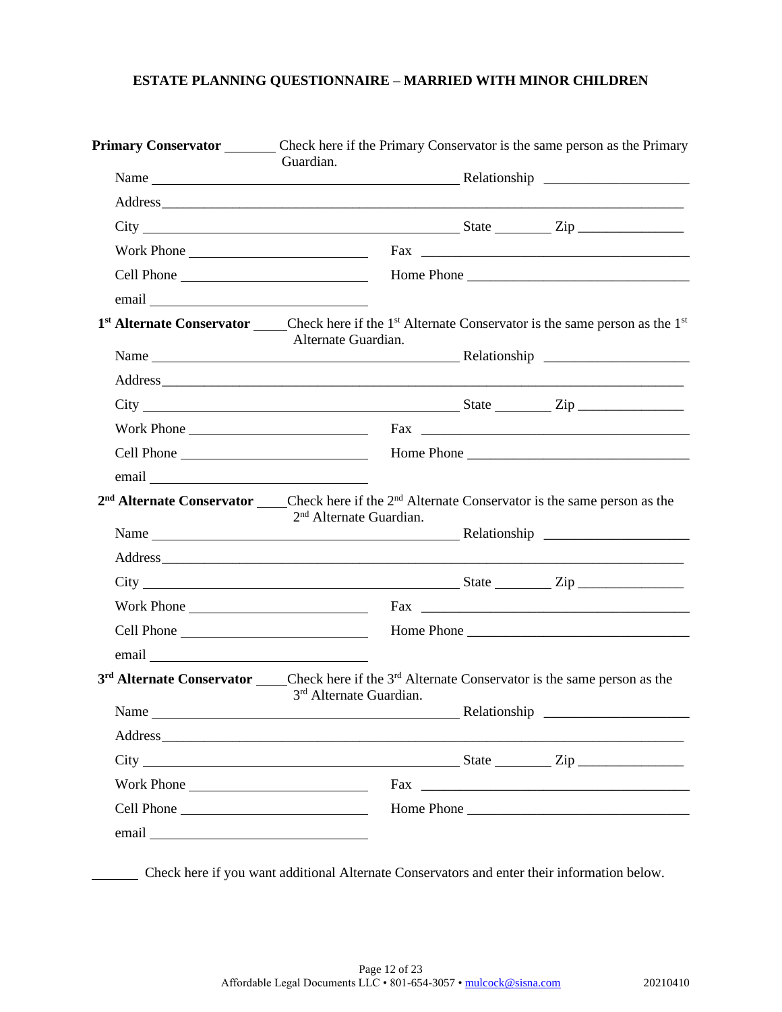| Primary Conservator Check here if the Primary Conservator is the same person as the Primary                                                                                                                                                                                                                                                                                                            | Guardian.                           |  |                                                                                                                                                                                                                                |  |
|--------------------------------------------------------------------------------------------------------------------------------------------------------------------------------------------------------------------------------------------------------------------------------------------------------------------------------------------------------------------------------------------------------|-------------------------------------|--|--------------------------------------------------------------------------------------------------------------------------------------------------------------------------------------------------------------------------------|--|
|                                                                                                                                                                                                                                                                                                                                                                                                        |                                     |  |                                                                                                                                                                                                                                |  |
|                                                                                                                                                                                                                                                                                                                                                                                                        |                                     |  |                                                                                                                                                                                                                                |  |
| $City$ $City$ $Zip$                                                                                                                                                                                                                                                                                                                                                                                    |                                     |  |                                                                                                                                                                                                                                |  |
|                                                                                                                                                                                                                                                                                                                                                                                                        |                                     |  |                                                                                                                                                                                                                                |  |
|                                                                                                                                                                                                                                                                                                                                                                                                        |                                     |  |                                                                                                                                                                                                                                |  |
| email email explorer and the same state of the same state of the same state of the same state of the same state of the same state of the same state of the same state of the same state of the same state of the same state of                                                                                                                                                                         |                                     |  |                                                                                                                                                                                                                                |  |
| 1 <sup>st</sup> Alternate Conservator _____Check here if the 1 <sup>st</sup> Alternate Conservator is the same person as the 1 <sup>st</sup>                                                                                                                                                                                                                                                           | Alternate Guardian.                 |  |                                                                                                                                                                                                                                |  |
|                                                                                                                                                                                                                                                                                                                                                                                                        |                                     |  |                                                                                                                                                                                                                                |  |
|                                                                                                                                                                                                                                                                                                                                                                                                        |                                     |  |                                                                                                                                                                                                                                |  |
|                                                                                                                                                                                                                                                                                                                                                                                                        |                                     |  |                                                                                                                                                                                                                                |  |
|                                                                                                                                                                                                                                                                                                                                                                                                        |                                     |  |                                                                                                                                                                                                                                |  |
|                                                                                                                                                                                                                                                                                                                                                                                                        |                                     |  |                                                                                                                                                                                                                                |  |
| email email and the same state of the same state of the same state of the same state of the same state of the                                                                                                                                                                                                                                                                                          |                                     |  |                                                                                                                                                                                                                                |  |
| 2 <sup>nd</sup> Alternate Conservator _____Check here if the 2 <sup>nd</sup> Alternate Conservator is the same person as the                                                                                                                                                                                                                                                                           |                                     |  |                                                                                                                                                                                                                                |  |
|                                                                                                                                                                                                                                                                                                                                                                                                        | 2 <sup>nd</sup> Alternate Guardian. |  |                                                                                                                                                                                                                                |  |
|                                                                                                                                                                                                                                                                                                                                                                                                        |                                     |  |                                                                                                                                                                                                                                |  |
| $\text{City}$ $\text{City}$ $\text{City}$ $\text{List}$ $\text{List}$ $\text{List}$ $\text{List}$ $\text{List}$ $\text{List}$ $\text{List}$ $\text{List}$ $\text{List}$ $\text{List}$ $\text{List}$ $\text{List}$ $\text{List}$ $\text{List}$ $\text{List}$ $\text{List}$ $\text{List}$ $\text{List}$ $\text{List}$ $\text{List}$ $\text{List}$ $\text{List}$ $\text{List}$ $\text{List}$ $\text{List$ |                                     |  |                                                                                                                                                                                                                                |  |
|                                                                                                                                                                                                                                                                                                                                                                                                        |                                     |  |                                                                                                                                                                                                                                |  |
|                                                                                                                                                                                                                                                                                                                                                                                                        |                                     |  |                                                                                                                                                                                                                                |  |
| email email explorer and the same state of the same state of the same state of the same state of the same state of the same state of the same state of the same state of the same state of the same state of the same state of                                                                                                                                                                         |                                     |  |                                                                                                                                                                                                                                |  |
| $3rd$ Alternate Conservator Check here if the $3rd$ Alternate Conservator is the same person as the                                                                                                                                                                                                                                                                                                    | 3 <sup>rd</sup> Alternate Guardian. |  |                                                                                                                                                                                                                                |  |
|                                                                                                                                                                                                                                                                                                                                                                                                        |                                     |  |                                                                                                                                                                                                                                |  |
| Address experience and the contract of the contract of the contract of the contract of the contract of the contract of the contract of the contract of the contract of the contract of the contract of the contract of the con                                                                                                                                                                         |                                     |  |                                                                                                                                                                                                                                |  |
| $City$ $City$ $Step$ $Line$                                                                                                                                                                                                                                                                                                                                                                            |                                     |  |                                                                                                                                                                                                                                |  |
| Work Phone                                                                                                                                                                                                                                                                                                                                                                                             |                                     |  | Fax The Commission of the Commission of the Commission of the Commission of the Commission of the Commission of the Commission of the Commission of the Commission of the Commission of the Commission of the Commission of th |  |
|                                                                                                                                                                                                                                                                                                                                                                                                        |                                     |  |                                                                                                                                                                                                                                |  |
| email email explorer and the set of the set of the set of the set of the set of the set of the set of the set of the set of the set of the set of the set of the set of the set of the set of the set of the set of the set of                                                                                                                                                                         |                                     |  |                                                                                                                                                                                                                                |  |
|                                                                                                                                                                                                                                                                                                                                                                                                        |                                     |  |                                                                                                                                                                                                                                |  |

Check here if you want additional Alternate Conservators and enter their information below.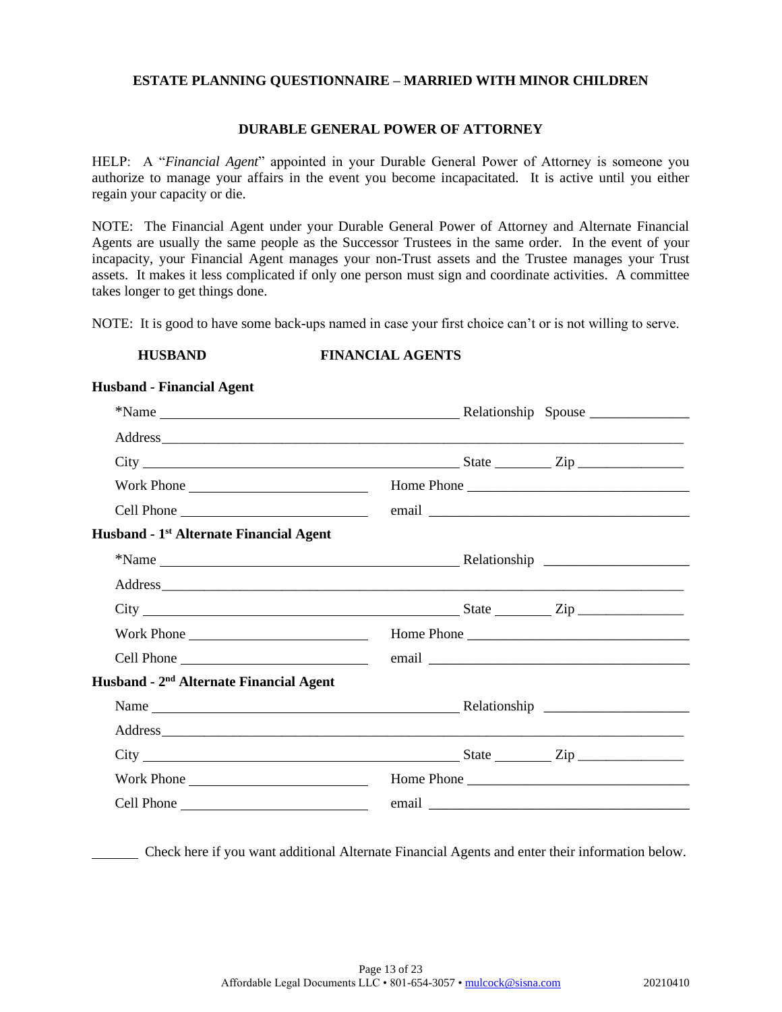### **DURABLE GENERAL POWER OF ATTORNEY**

HELP: A "*Financial Agent*" appointed in your Durable General Power of Attorney is someone you authorize to manage your affairs in the event you become incapacitated. It is active until you either regain your capacity or die.

NOTE: The Financial Agent under your Durable General Power of Attorney and Alternate Financial Agents are usually the same people as the Successor Trustees in the same order. In the event of your incapacity, your Financial Agent manages your non-Trust assets and the Trustee manages your Trust assets. It makes it less complicated if only one person must sign and coordinate activities. A committee takes longer to get things done.

NOTE: It is good to have some back-ups named in case your first choice can't or is not willing to serve.

### **HUSBAND FINANCIAL AGENTS**

| Work Phone |                          |
|------------|--------------------------|
|            |                          |
|            |                          |
|            |                          |
|            |                          |
|            |                          |
|            |                          |
|            |                          |
|            | Home Phone<br>Home Phone |

Check here if you want additional Alternate Financial Agents and enter their information below.

## **Husband - Financial Agent**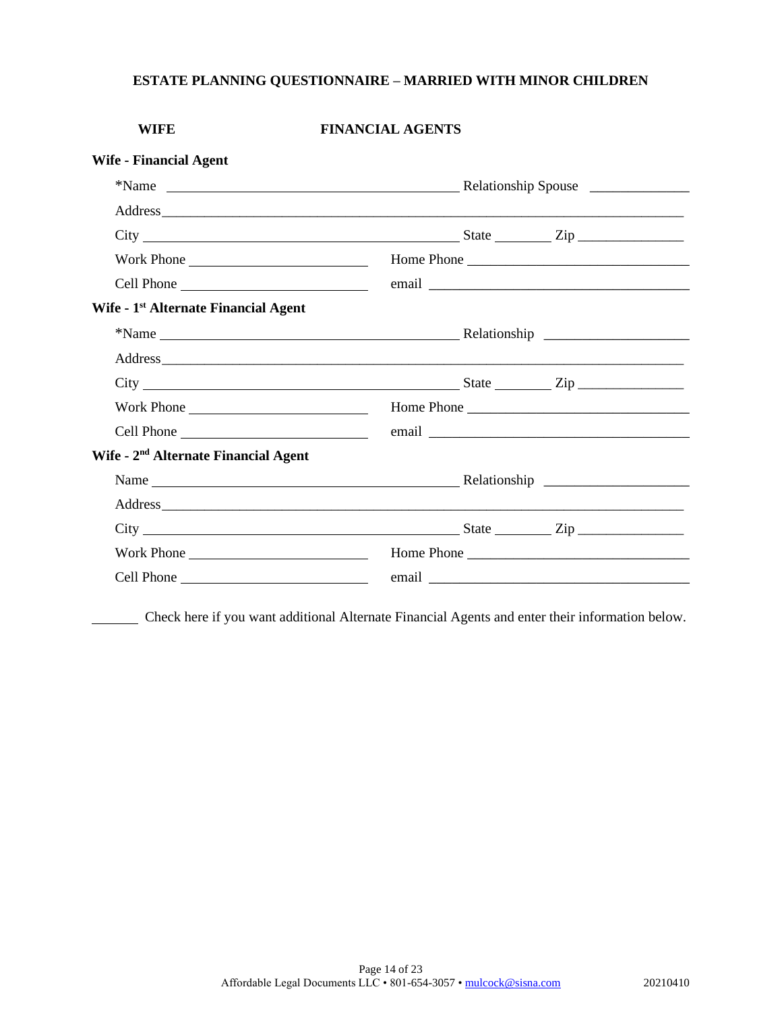| <b>WIFE</b>                                      | <b>FINANCIAL AGENTS</b>     |            |
|--------------------------------------------------|-----------------------------|------------|
| <b>Wife - Financial Agent</b>                    |                             |            |
|                                                  |                             |            |
|                                                  |                             |            |
|                                                  |                             |            |
| Work Phone                                       |                             |            |
|                                                  |                             |            |
| Wife - 1 <sup>st</sup> Alternate Financial Agent |                             |            |
|                                                  |                             |            |
|                                                  |                             |            |
|                                                  | $City$ $City$ $Step$ $Type$ |            |
|                                                  |                             | Home Phone |
|                                                  |                             |            |
| Wife - 2 <sup>nd</sup> Alternate Financial Agent |                             |            |
|                                                  |                             |            |
|                                                  |                             |            |
|                                                  |                             |            |
| Work Phone                                       |                             |            |
|                                                  |                             |            |

Check here if you want additional Alternate Financial Agents and enter their information below.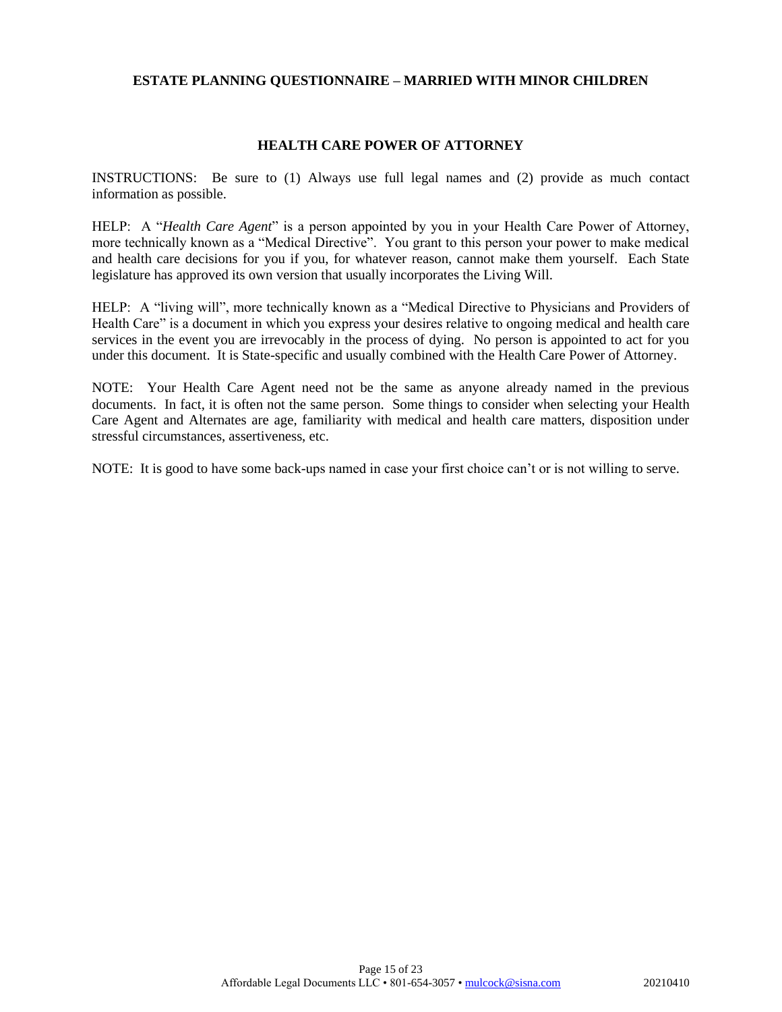### **HEALTH CARE POWER OF ATTORNEY**

INSTRUCTIONS: Be sure to (1) Always use full legal names and (2) provide as much contact information as possible.

HELP: A "*Health Care Agent*" is a person appointed by you in your Health Care Power of Attorney, more technically known as a "Medical Directive". You grant to this person your power to make medical and health care decisions for you if you, for whatever reason, cannot make them yourself. Each State legislature has approved its own version that usually incorporates the Living Will.

HELP: A "living will", more technically known as a "Medical Directive to Physicians and Providers of Health Care" is a document in which you express your desires relative to ongoing medical and health care services in the event you are irrevocably in the process of dying. No person is appointed to act for you under this document. It is State-specific and usually combined with the Health Care Power of Attorney.

NOTE: Your Health Care Agent need not be the same as anyone already named in the previous documents. In fact, it is often not the same person. Some things to consider when selecting your Health Care Agent and Alternates are age, familiarity with medical and health care matters, disposition under stressful circumstances, assertiveness, etc.

NOTE: It is good to have some back-ups named in case your first choice can't or is not willing to serve.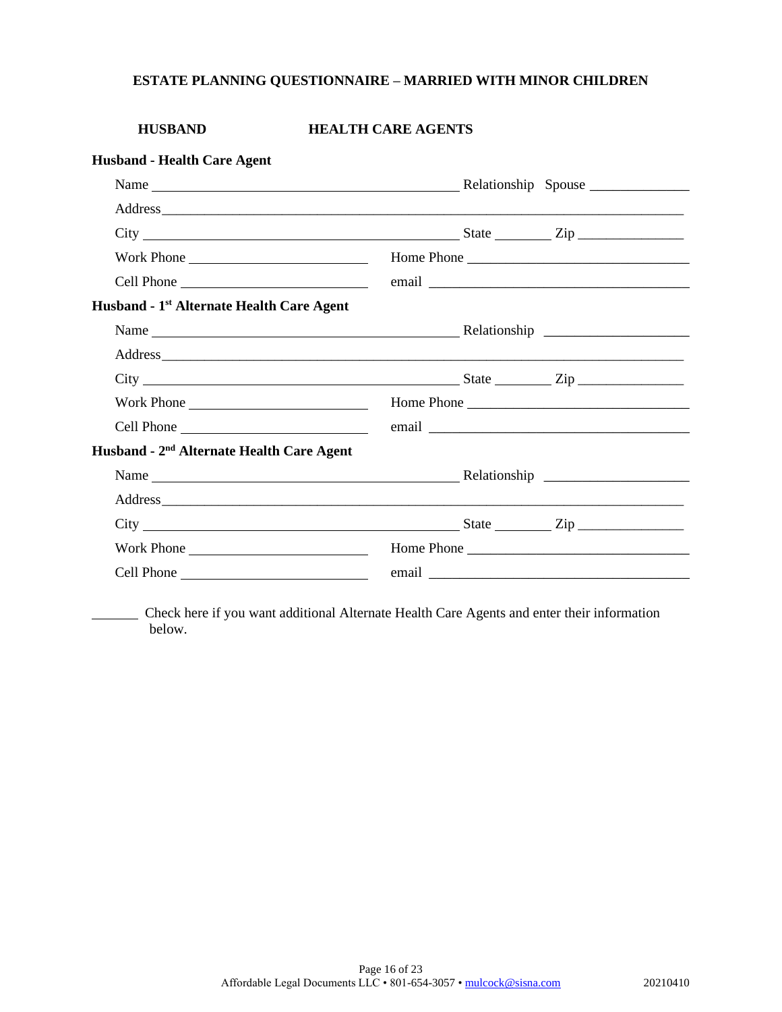| <b>HUSBAND</b>                                        | <b>HEALTH CARE AGENTS</b>   |
|-------------------------------------------------------|-----------------------------|
| <b>Husband - Health Care Agent</b>                    |                             |
|                                                       |                             |
|                                                       |                             |
|                                                       |                             |
|                                                       |                             |
|                                                       |                             |
| Husband - 1 <sup>st</sup> Alternate Health Care Agent |                             |
|                                                       |                             |
|                                                       |                             |
|                                                       | $City$ $City$ $Step$ $Type$ |
| Work Phone                                            | Home Phone                  |
|                                                       |                             |
| Husband - 2 <sup>nd</sup> Alternate Health Care Agent |                             |
|                                                       |                             |
|                                                       |                             |
|                                                       |                             |
| Work Phone                                            | Home Phone                  |
|                                                       |                             |

 Check here if you want additional Alternate Health Care Agents and enter their information below.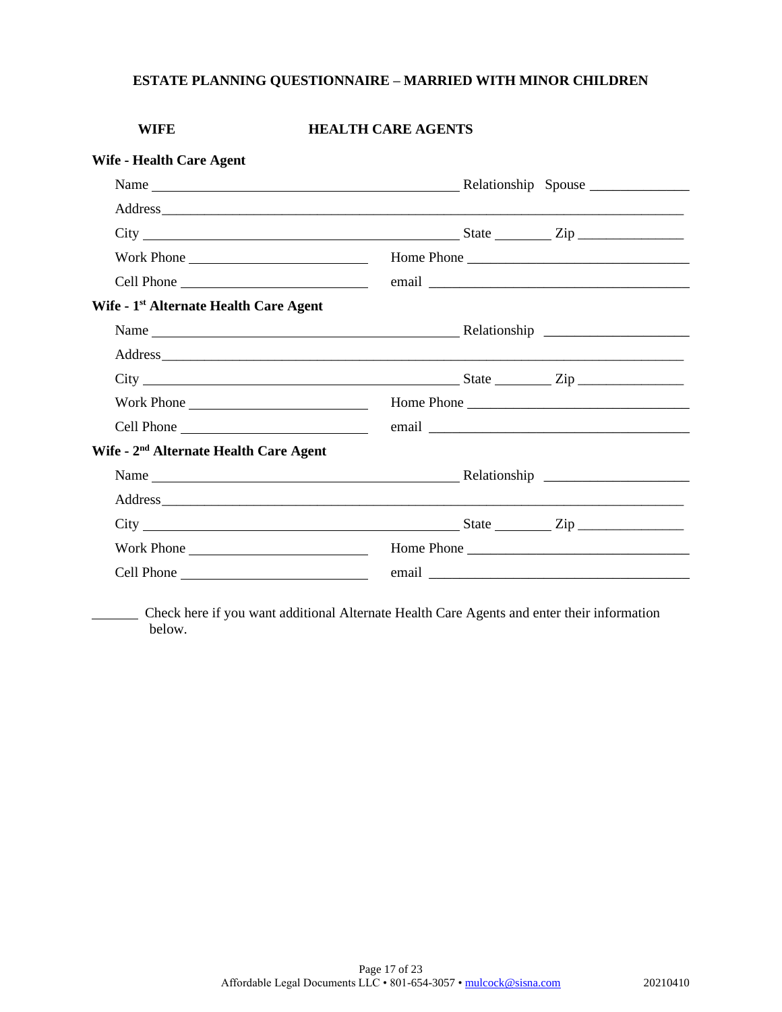| <b>WIFE</b>                                        | <b>HEALTH CARE AGENTS</b>                                                                                                                                                                                                      |
|----------------------------------------------------|--------------------------------------------------------------------------------------------------------------------------------------------------------------------------------------------------------------------------------|
| <b>Wife - Health Care Agent</b>                    |                                                                                                                                                                                                                                |
|                                                    |                                                                                                                                                                                                                                |
|                                                    |                                                                                                                                                                                                                                |
|                                                    | $\text{City}$ $\frac{\text{City}}{\text{List}}$                                                                                                                                                                                |
| Work Phone                                         | Home Phone                                                                                                                                                                                                                     |
|                                                    |                                                                                                                                                                                                                                |
| Wife - 1 <sup>st</sup> Alternate Health Care Agent |                                                                                                                                                                                                                                |
|                                                    |                                                                                                                                                                                                                                |
|                                                    |                                                                                                                                                                                                                                |
|                                                    | $City$ $\rule{1em}{0.15mm}$ $\qquad \qquad \text{State}$ $\rule{1em}{0.15mm}$ $\qquad \qquad \text{Step}$ $\rule{1em}{0.15mm}$                                                                                                 |
| Work Phone                                         |                                                                                                                                                                                                                                |
|                                                    |                                                                                                                                                                                                                                |
| Wife - 2 <sup>nd</sup> Alternate Health Care Agent |                                                                                                                                                                                                                                |
|                                                    | Name Relationship Relationship                                                                                                                                                                                                 |
|                                                    |                                                                                                                                                                                                                                |
|                                                    | $\text{City}$ $\frac{\text{City}}{\text{List}}$                                                                                                                                                                                |
| Work Phone                                         | Home Phone                                                                                                                                                                                                                     |
|                                                    | email expression and the contract of the contract of the contract of the contract of the contract of the contract of the contract of the contract of the contract of the contract of the contract of the contract of the contr |

 Check here if you want additional Alternate Health Care Agents and enter their information below.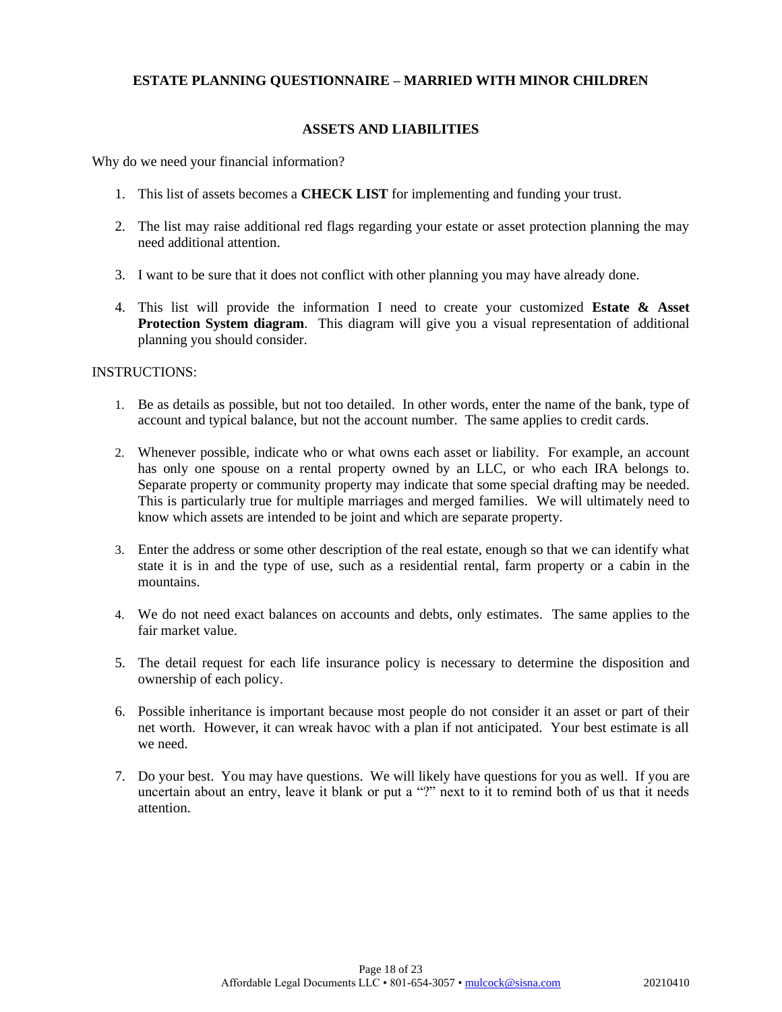### **ASSETS AND LIABILITIES**

Why do we need your financial information?

- 1. This list of assets becomes a **CHECK LIST** for implementing and funding your trust.
- 2. The list may raise additional red flags regarding your estate or asset protection planning the may need additional attention.
- 3. I want to be sure that it does not conflict with other planning you may have already done.
- 4. This list will provide the information I need to create your customized **Estate & Asset Protection System diagram.** This diagram will give you a visual representation of additional planning you should consider.

### INSTRUCTIONS:

- 1. Be as details as possible, but not too detailed. In other words, enter the name of the bank, type of account and typical balance, but not the account number. The same applies to credit cards.
- 2. Whenever possible, indicate who or what owns each asset or liability. For example, an account has only one spouse on a rental property owned by an LLC, or who each IRA belongs to. Separate property or community property may indicate that some special drafting may be needed. This is particularly true for multiple marriages and merged families. We will ultimately need to know which assets are intended to be joint and which are separate property.
- 3. Enter the address or some other description of the real estate, enough so that we can identify what state it is in and the type of use, such as a residential rental, farm property or a cabin in the mountains.
- 4. We do not need exact balances on accounts and debts, only estimates. The same applies to the fair market value.
- 5. The detail request for each life insurance policy is necessary to determine the disposition and ownership of each policy.
- 6. Possible inheritance is important because most people do not consider it an asset or part of their net worth. However, it can wreak havoc with a plan if not anticipated. Your best estimate is all we need.
- 7. Do your best. You may have questions. We will likely have questions for you as well. If you are uncertain about an entry, leave it blank or put a "?" next to it to remind both of us that it needs attention.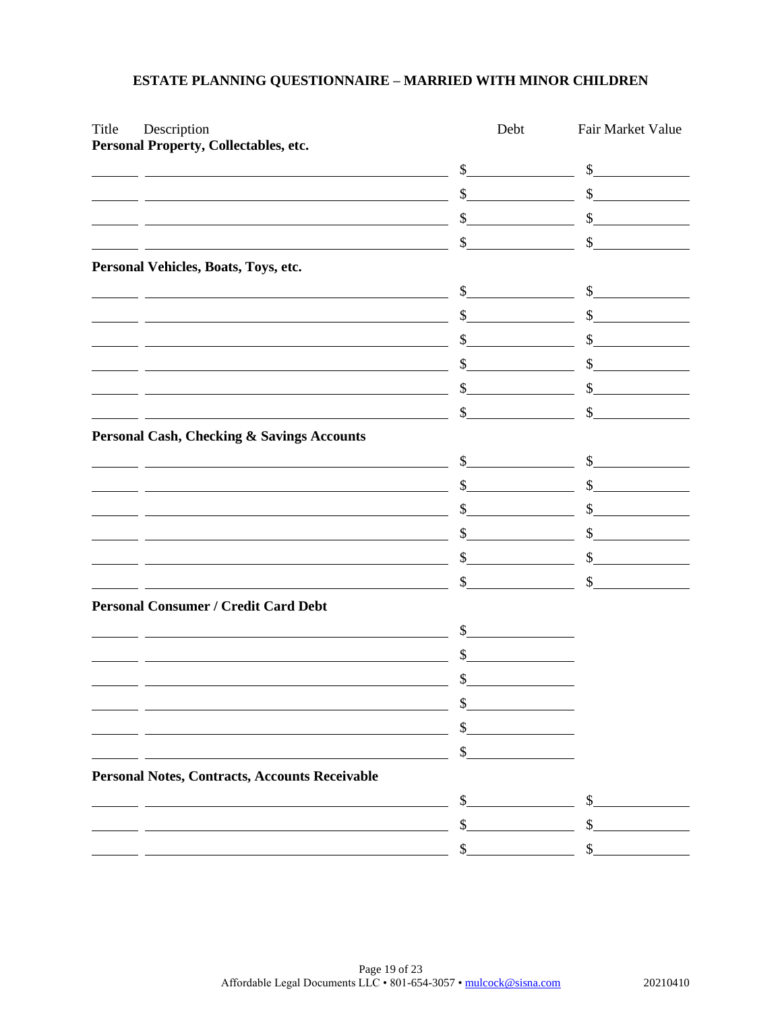| Title | Description                                                                                                           | Debt          | Fair Market Value                                                                                                          |
|-------|-----------------------------------------------------------------------------------------------------------------------|---------------|----------------------------------------------------------------------------------------------------------------------------|
|       | Personal Property, Collectables, etc.                                                                                 | \$            | \$                                                                                                                         |
|       |                                                                                                                       | \$            | \$                                                                                                                         |
|       | <u> 1980 - Johann Barn, mars ann an t-Amhain Aonaichte ann an t-Aonaichte ann an t-Aonaichte ann an t-Aonaichte a</u> | \$            | \$                                                                                                                         |
|       |                                                                                                                       | \$            | \$                                                                                                                         |
|       | Personal Vehicles, Boats, Toys, etc.                                                                                  |               |                                                                                                                            |
|       |                                                                                                                       | $\frac{1}{2}$ | \$<br><u> 1999 - Jan Barbara III, prima postala prima prima prima prima prima prima prima prima prima prima prima prim</u> |
|       | <u> 1980 - Johann Barn, mars ann an t-Amhain Aonaichte ann an t-Aonaichte ann an t-Aonaichte ann an t-Aonaichte a</u> | \$            | \$                                                                                                                         |
|       |                                                                                                                       |               | \$                                                                                                                         |
|       |                                                                                                                       | \$            | \$                                                                                                                         |
|       |                                                                                                                       | \$            | \$                                                                                                                         |
|       |                                                                                                                       | $\mathbb{S}$  | \$                                                                                                                         |
|       | <b>Personal Cash, Checking &amp; Savings Accounts</b>                                                                 |               |                                                                                                                            |
|       |                                                                                                                       | $\mathbb{S}$  | \$                                                                                                                         |
|       | <u> 1989 - Johann Stein, marwolaethau a bhann an t-Amhair an t-Amhair an t-Amhair an t-Amhair an t-Amhair an t-A</u>  | \$            | $\mathbb{S}$                                                                                                               |
|       |                                                                                                                       | \$            | \$                                                                                                                         |
|       |                                                                                                                       | \$            | \$                                                                                                                         |
|       |                                                                                                                       | $\mathbb{S}$  | $\mathbb{S}$                                                                                                               |
|       |                                                                                                                       | \$            | \$                                                                                                                         |
|       | <b>Personal Consumer / Credit Card Debt</b>                                                                           |               |                                                                                                                            |
|       |                                                                                                                       | \$            |                                                                                                                            |
|       | <u> 1980 - Johann Barn, mars ann an t-Amhain Aonaich an t-Aonaich an t-Aonaich ann an t-Aonaich ann an t-Aonaich</u>  | \$            |                                                                                                                            |
|       |                                                                                                                       | $\mathcal{S}$ |                                                                                                                            |
|       |                                                                                                                       |               |                                                                                                                            |
|       |                                                                                                                       | \$            |                                                                                                                            |
|       |                                                                                                                       |               |                                                                                                                            |
|       | <b>Personal Notes, Contracts, Accounts Receivable</b>                                                                 |               |                                                                                                                            |
|       |                                                                                                                       | \$            | \$                                                                                                                         |
|       |                                                                                                                       | \$            | \$                                                                                                                         |
|       |                                                                                                                       |               |                                                                                                                            |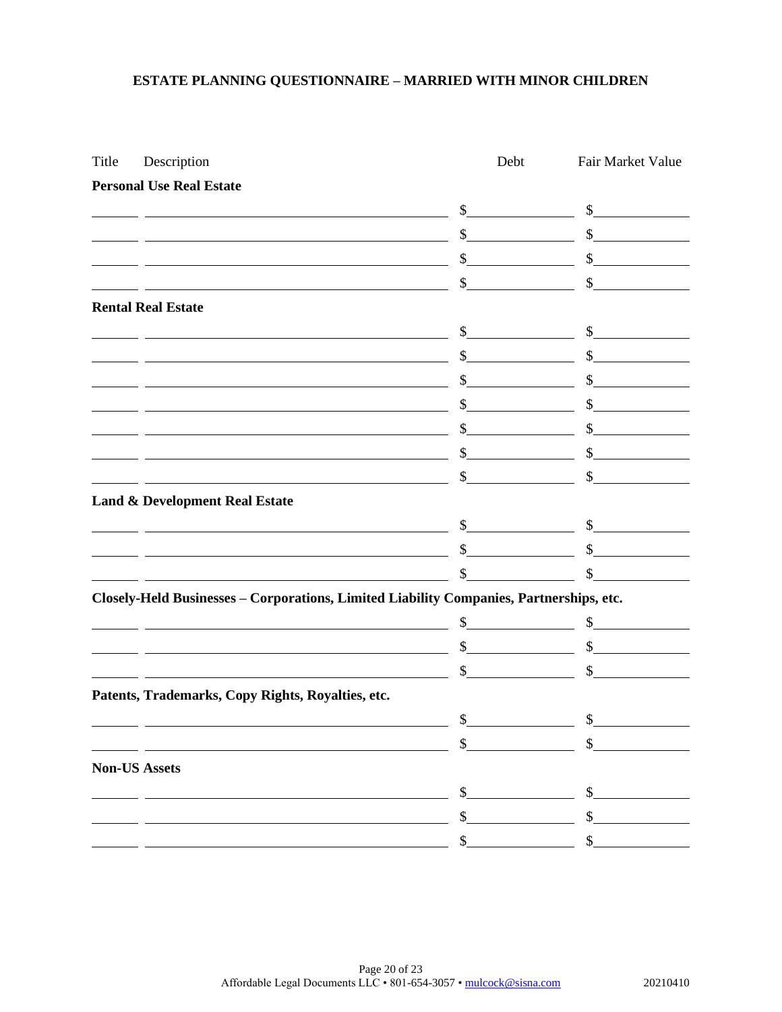| Title | Description                                                                                                            | Debt                        | Fair Market Value           |
|-------|------------------------------------------------------------------------------------------------------------------------|-----------------------------|-----------------------------|
|       | <b>Personal Use Real Estate</b>                                                                                        |                             |                             |
|       | <u> 1980 - Johann Barn, mars ann an t-Amhain Aonaichte ann an t-Aonaichte ann an t-Aonaichte ann an t-Aonaichte a</u>  | $\frac{1}{2}$               | $\sim$                      |
|       | <u> 1989 - Johann Barbara, martin amerikan basar dan basa dan basa dan basa dalam basa dan basa dalam basa dalam</u>   |                             | $\frac{1}{2}$               |
|       | <u> 1989 - Johann Stoff, Amerikaansk politiker († 1908)</u>                                                            | $\mathbb{S}$                | $\sim$ $\sim$               |
|       | <u> 1989 - Johann Stoff, deutscher Stoffen und der Stoffen und der Stoffen und der Stoffen und der Stoffen und der</u> | $\mathbb{S}$                | $\mathcal{S}$               |
|       | <b>Rental Real Estate</b>                                                                                              |                             |                             |
|       | <u> 1989 - Johann Barn, amerikansk politiker (</u>                                                                     | $\frac{1}{2}$               | s                           |
|       | <u> 1989 - Johann Stoff, Amerikaansk politiker († 1908)</u>                                                            | $\frac{1}{2}$               | $\frac{1}{2}$               |
|       | <u> 1989 - Johann Barbara, martxa alemaniar amerikan basar da da a shekara a shekara a shekara a shekara a shekar</u>  | $\sim$ $\sim$               | $\sim$ $\sim$               |
|       | <u> 1989 - Jan Samuel Barbara, margaret eta idazlea (h. 1989).</u>                                                     |                             | $\mathbb{S}$                |
|       |                                                                                                                        | $\mathbb{S}$                | $\mathbb{S}$                |
|       | <u> 1989 - Johann Barnett, fransk politik (d. 1989)</u>                                                                | $\frac{1}{2}$               | $\frac{1}{2}$               |
|       | <u> 1980 - Johann Barbara, martin amerikan basar dan basar dan basar dalam basar dalam basar dalam basar dalam b</u>   | $\frac{1}{2}$               | $\mathcal{S}$               |
|       | <b>Land &amp; Development Real Estate</b>                                                                              |                             |                             |
|       |                                                                                                                        | $\frac{1}{2}$               | $\frac{1}{2}$               |
|       | <u> 1989 - Johann Barbara, martxa alemaniar amerikan a</u>                                                             | $\int$                      | $\sim$                      |
|       |                                                                                                                        | \$                          | $\mathbb{S}$                |
|       | Closely-Held Businesses - Corporations, Limited Liability Companies, Partnerships, etc.                                |                             |                             |
|       | <u> 1989 - Johann Barn, mars eta bainar eta industrial eta baina eta baina eta baina eta baina eta baina eta bain</u>  | $\frac{\text{S}}{\text{S}}$ | $\frac{1}{2}$               |
|       | <u> 1989 - Jan Samuel Barbara, margaret eta idazlea (h. 1982).</u>                                                     | $\frac{1}{2}$               | $\frac{\text{S}}{\text{S}}$ |
|       |                                                                                                                        | $\sim$                      | $\mathbb{S}$                |
|       | Patents, Trademarks, Copy Rights, Royalties, etc.                                                                      |                             |                             |
|       |                                                                                                                        | \$                          | \$                          |
|       |                                                                                                                        |                             | \$                          |
|       | <b>Non-US Assets</b>                                                                                                   |                             |                             |
|       |                                                                                                                        | \$                          | \$                          |
|       |                                                                                                                        | \$                          | \$                          |
|       |                                                                                                                        | \$                          | \$                          |
|       |                                                                                                                        |                             |                             |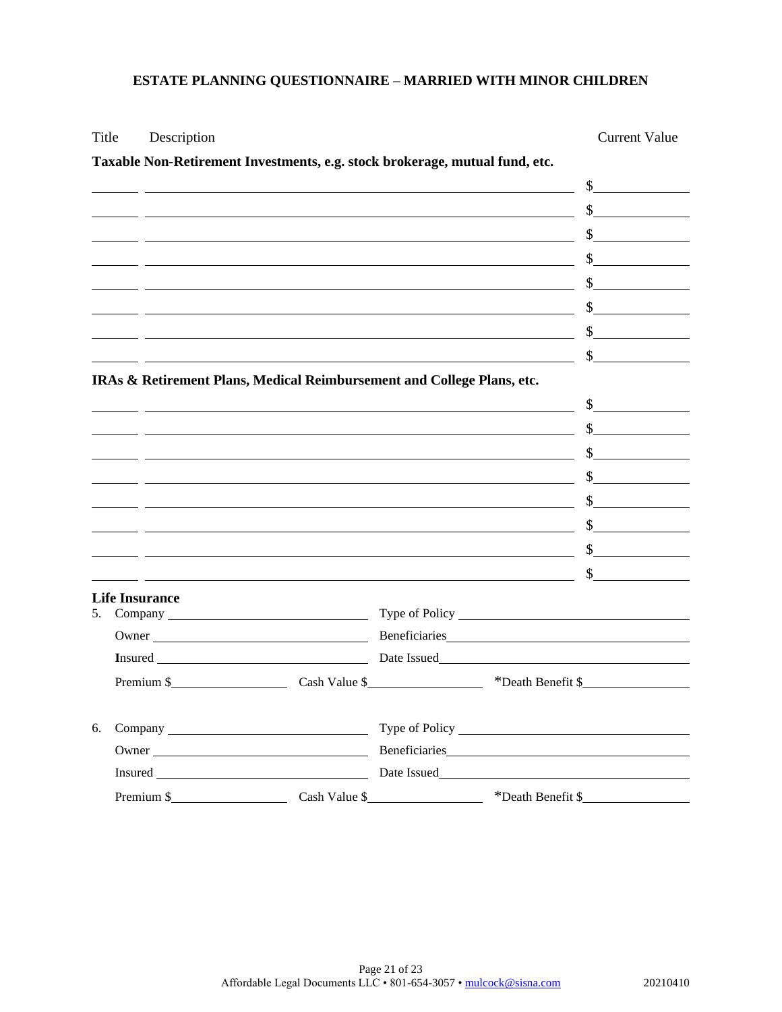## Title Description Current Value

|    | Taxable Non-Retirement Investments, e.g. stock brokerage, mutual fund, etc. |                                                      |                                                                                                                                                                                                                                                     |
|----|-----------------------------------------------------------------------------|------------------------------------------------------|-----------------------------------------------------------------------------------------------------------------------------------------------------------------------------------------------------------------------------------------------------|
|    |                                                                             |                                                      | $\frac{1}{2}$                                                                                                                                                                                                                                       |
|    |                                                                             |                                                      | $\sim$                                                                                                                                                                                                                                              |
|    |                                                                             |                                                      | s                                                                                                                                                                                                                                                   |
|    |                                                                             | <u> 1989 - Johann Barn, fransk politik (d. 1989)</u> | $\frac{\sqrt{2}}{2}$                                                                                                                                                                                                                                |
|    |                                                                             |                                                      | $\frac{1}{2}$                                                                                                                                                                                                                                       |
|    |                                                                             |                                                      | $\frac{\text{S}}{\text{S}}$                                                                                                                                                                                                                         |
|    |                                                                             |                                                      | $\frac{1}{2}$                                                                                                                                                                                                                                       |
|    |                                                                             | <u> 1989 - Johann Stone, Amerikaansk politiker (</u> | $\frac{1}{2}$                                                                                                                                                                                                                                       |
|    | IRAs & Retirement Plans, Medical Reimbursement and College Plans, etc.      |                                                      |                                                                                                                                                                                                                                                     |
|    |                                                                             |                                                      |                                                                                                                                                                                                                                                     |
|    |                                                                             |                                                      | $\frac{1}{2}$                                                                                                                                                                                                                                       |
|    |                                                                             |                                                      | $\frac{1}{2}$                                                                                                                                                                                                                                       |
|    |                                                                             |                                                      | $\frac{\sqrt{2}}{2}$                                                                                                                                                                                                                                |
|    |                                                                             |                                                      |                                                                                                                                                                                                                                                     |
|    |                                                                             |                                                      | $\sim$                                                                                                                                                                                                                                              |
|    |                                                                             |                                                      | $\frac{1}{2}$                                                                                                                                                                                                                                       |
|    |                                                                             |                                                      |                                                                                                                                                                                                                                                     |
|    | <b>Life Insurance</b>                                                       |                                                      |                                                                                                                                                                                                                                                     |
| 5. |                                                                             |                                                      |                                                                                                                                                                                                                                                     |
|    |                                                                             |                                                      |                                                                                                                                                                                                                                                     |
|    |                                                                             |                                                      |                                                                                                                                                                                                                                                     |
|    |                                                                             |                                                      | Premium \$ Cash Value \$ Premium \$ Cash Value \$ Premium \$ Premium \$ Premium \$ Premium \$ Premium \$ Premium \$ Premium \$ Premium \$ Premium \$ Premium \$ Premium \$ Premium \$ Premium \$ Premium \$ Premium \$ Premium \$ Premium \$ Premiu |
| 6. |                                                                             |                                                      |                                                                                                                                                                                                                                                     |
|    |                                                                             |                                                      |                                                                                                                                                                                                                                                     |
|    |                                                                             |                                                      |                                                                                                                                                                                                                                                     |
|    |                                                                             |                                                      | Premium \$ Cash Value \$ *Death Benefit \$                                                                                                                                                                                                          |

### **Taxable Non-Retirement Investments, e.g. stock brokerage, mutual fund, etc.**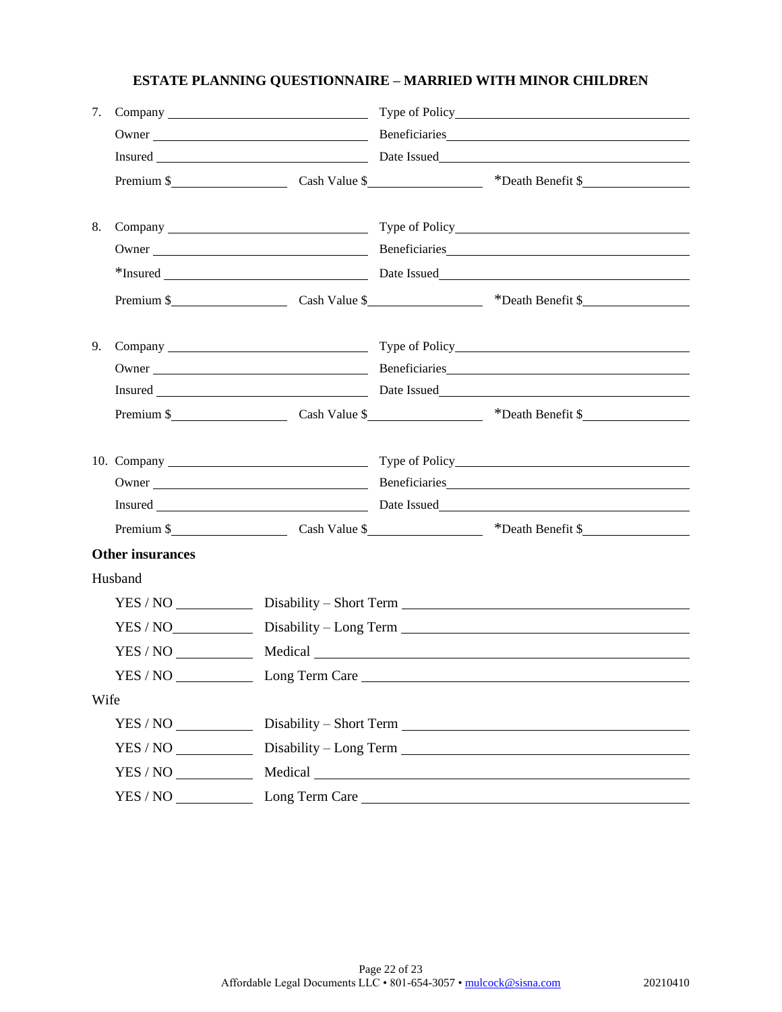| 7.   |                                    |                                                                                   |  |                                                                                   |  |  |
|------|------------------------------------|-----------------------------------------------------------------------------------|--|-----------------------------------------------------------------------------------|--|--|
|      |                                    |                                                                                   |  |                                                                                   |  |  |
|      |                                    |                                                                                   |  |                                                                                   |  |  |
|      |                                    |                                                                                   |  | Premium \$                                                                        |  |  |
| 8.   |                                    |                                                                                   |  |                                                                                   |  |  |
|      |                                    |                                                                                   |  |                                                                                   |  |  |
|      |                                    |                                                                                   |  | *Insured <b>Example 2</b> Date Issued <b>Date Issued Date Issued CONSUMER 2</b> 2 |  |  |
|      |                                    |                                                                                   |  | Premium \$                                                                        |  |  |
| 9.   |                                    |                                                                                   |  |                                                                                   |  |  |
|      |                                    |                                                                                   |  |                                                                                   |  |  |
|      |                                    |                                                                                   |  |                                                                                   |  |  |
|      |                                    |                                                                                   |  | Premium \$                                                                        |  |  |
|      |                                    |                                                                                   |  |                                                                                   |  |  |
|      |                                    |                                                                                   |  |                                                                                   |  |  |
|      |                                    |                                                                                   |  |                                                                                   |  |  |
|      |                                    |                                                                                   |  | Premium \$                                                                        |  |  |
|      | <b>Other insurances</b>            |                                                                                   |  |                                                                                   |  |  |
|      | Husband                            |                                                                                   |  |                                                                                   |  |  |
|      |                                    |                                                                                   |  |                                                                                   |  |  |
|      |                                    | YES / NO_________________Disability - Long Term _________________________________ |  |                                                                                   |  |  |
|      |                                    | YES / NO Medical Medical                                                          |  |                                                                                   |  |  |
|      |                                    |                                                                                   |  |                                                                                   |  |  |
| Wife |                                    |                                                                                   |  |                                                                                   |  |  |
|      | $YES / NO$ Disability – Short Term |                                                                                   |  |                                                                                   |  |  |
|      |                                    | YES / NO _______________ Disability - Long Term _________________________________ |  |                                                                                   |  |  |
|      |                                    |                                                                                   |  |                                                                                   |  |  |
|      |                                    |                                                                                   |  |                                                                                   |  |  |